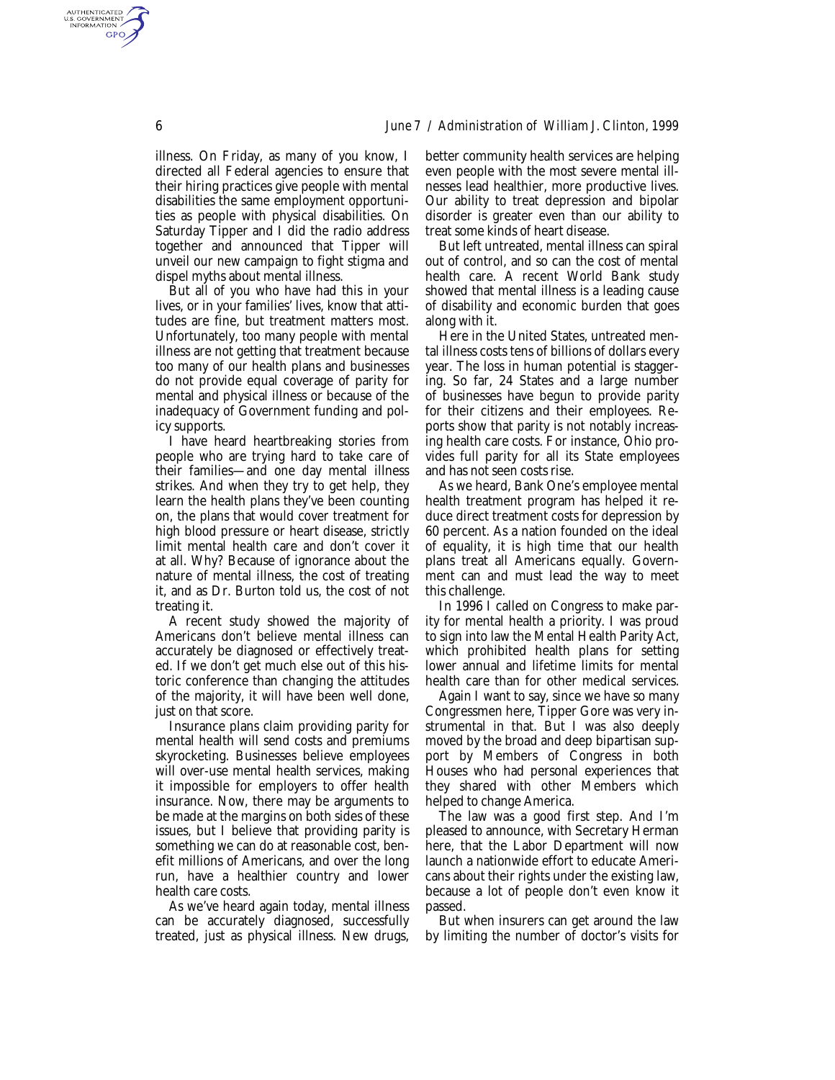illness. On Friday, as many of you know, I directed all Federal agencies to ensure that their hiring practices give people with mental disabilities the same employment opportunities as people with physical disabilities. On Saturday Tipper and I did the radio address together and announced that Tipper will unveil our new campaign to fight stigma and dispel myths about mental illness.

But all of you who have had this in your lives, or in your families' lives, know that attitudes are fine, but treatment matters most. Unfortunately, too many people with mental illness are not getting that treatment because too many of our health plans and businesses do not provide equal coverage of parity for mental and physical illness or because of the inadequacy of Government funding and policy supports.

I have heard heartbreaking stories from people who are trying hard to take care of their families—and one day mental illness strikes. And when they try to get help, they learn the health plans they've been counting on, the plans that would cover treatment for high blood pressure or heart disease, strictly limit mental health care and don't cover it at all. Why? Because of ignorance about the nature of mental illness, the cost of treating it, and as Dr. Burton told us, the cost of not treating it.

A recent study showed the majority of Americans don't believe mental illness can accurately be diagnosed or effectively treated. If we don't get much else out of this historic conference than changing the attitudes of the majority, it will have been well done, just on that score.

Insurance plans claim providing parity for mental health will send costs and premiums skyrocketing. Businesses believe employees will over-use mental health services, making it impossible for employers to offer health insurance. Now, there may be arguments to be made at the margins on both sides of these issues, but I believe that providing parity is something we can do at reasonable cost, benefit millions of Americans, and over the long run, have a healthier country and lower health care costs.

As we've heard again today, mental illness can be accurately diagnosed, successfully treated, just as physical illness. New drugs, better community health services are helping even people with the most severe mental illnesses lead healthier, more productive lives. Our ability to treat depression and bipolar disorder is greater even than our ability to treat some kinds of heart disease.

But left untreated, mental illness can spiral out of control, and so can the cost of mental health care. A recent World Bank study showed that mental illness is a leading cause of disability and economic burden that goes along with it.

Here in the United States, untreated mental illness costs tens of billions of dollars every year. The loss in human potential is staggering. So far, 24 States and a large number of businesses have begun to provide parity for their citizens and their employees. Reports show that parity is not notably increasing health care costs. For instance, Ohio provides full parity for all its State employees and has not seen costs rise.

As we heard, Bank One's employee mental health treatment program has helped it reduce direct treatment costs for depression by 60 percent. As a nation founded on the ideal of equality, it is high time that our health plans treat all Americans equally. Government can and must lead the way to meet this challenge.

In 1996 I called on Congress to make parity for mental health a priority. I was proud to sign into law the Mental Health Parity Act, which prohibited health plans for setting lower annual and lifetime limits for mental health care than for other medical services.

Again I want to say, since we have so many Congressmen here, Tipper Gore was very instrumental in that. But I was also deeply moved by the broad and deep bipartisan support by Members of Congress in both Houses who had personal experiences that they shared with other Members which helped to change America.

The law was a good first step. And I'm pleased to announce, with Secretary Herman here, that the Labor Department will now launch a nationwide effort to educate Americans about their rights under the existing law, because a lot of people don't even know it passed.

But when insurers can get around the law by limiting the number of doctor's visits for

AUTHENTICATED<br>U.S. GOVERNMENT<br>INFORMATION GPO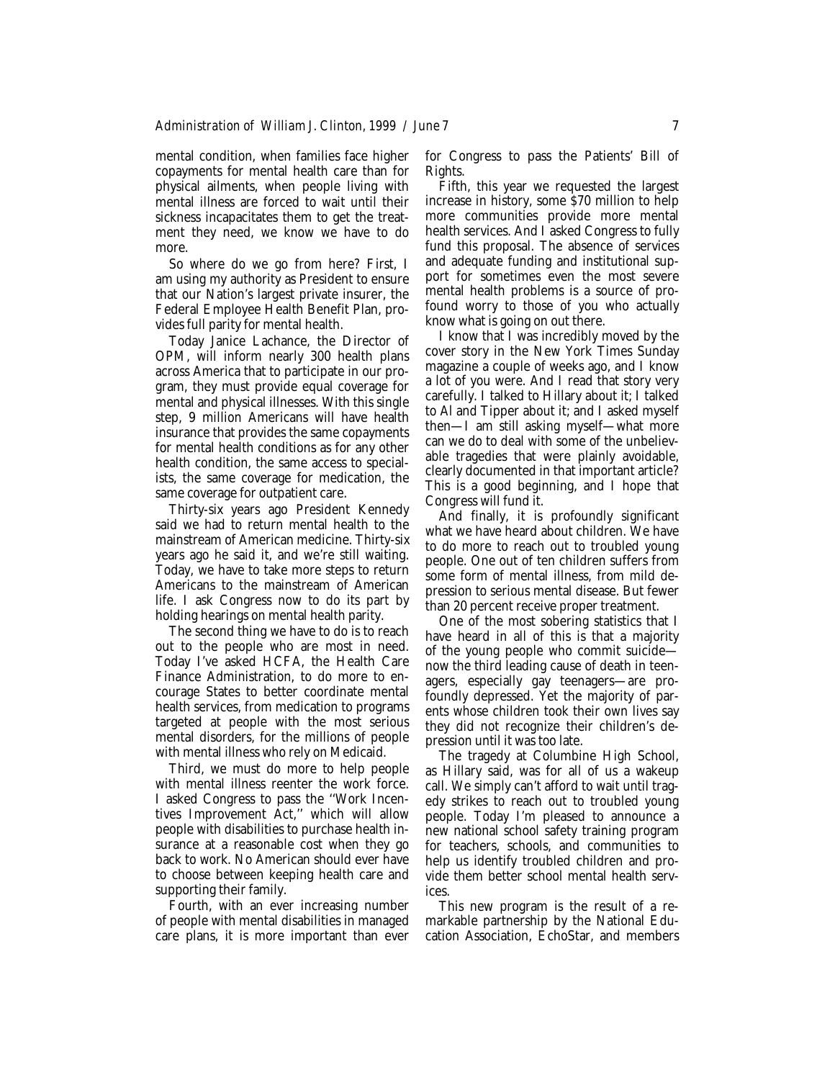mental condition, when families face higher copayments for mental health care than for physical ailments, when people living with mental illness are forced to wait until their sickness incapacitates them to get the treatment they need, we know we have to do more.

So where do we go from here? First, I am using my authority as President to ensure that our Nation's largest private insurer, the Federal Employee Health Benefit Plan, provides full parity for mental health.

Today Janice Lachance, the Director of OPM, will inform nearly 300 health plans across America that to participate in our program, they must provide equal coverage for mental and physical illnesses. With this single step, 9 million Americans will have health insurance that provides the same copayments for mental health conditions as for any other health condition, the same access to specialists, the same coverage for medication, the same coverage for outpatient care.

Thirty-six years ago President Kennedy said we had to return mental health to the mainstream of American medicine. Thirty-six years ago he said it, and we're still waiting. Today, we have to take more steps to return Americans to the mainstream of American life. I ask Congress now to do its part by holding hearings on mental health parity.

The second thing we have to do is to reach out to the people who are most in need. Today I've asked HCFA, the Health Care Finance Administration, to do more to encourage States to better coordinate mental health services, from medication to programs targeted at people with the most serious mental disorders, for the millions of people with mental illness who rely on Medicaid.

Third, we must do more to help people with mental illness reenter the work force. I asked Congress to pass the ''Work Incentives Improvement Act,'' which will allow people with disabilities to purchase health insurance at a reasonable cost when they go back to work. No American should ever have to choose between keeping health care and supporting their family.

Fourth, with an ever increasing number of people with mental disabilities in managed care plans, it is more important than ever for Congress to pass the Patients' Bill of Rights.

Fifth, this year we requested the largest increase in history, some \$70 million to help more communities provide more mental health services. And I asked Congress to fully fund this proposal. The absence of services and adequate funding and institutional support for sometimes even the most severe mental health problems is a source of profound worry to those of you who actually know what is going on out there.

I know that I was incredibly moved by the cover story in the New York Times Sunday magazine a couple of weeks ago, and I know a lot of you were. And I read that story very carefully. I talked to Hillary about it; I talked to Al and Tipper about it; and I asked myself then—I am still asking myself—what more can we do to deal with some of the unbelievable tragedies that were plainly avoidable, clearly documented in that important article? This is a good beginning, and I hope that Congress will fund it.

And finally, it is profoundly significant what we have heard about children. We have to do more to reach out to troubled young people. One out of ten children suffers from some form of mental illness, from mild depression to serious mental disease. But fewer than 20 percent receive proper treatment.

One of the most sobering statistics that I have heard in all of this is that a majority of the young people who commit suicide now the third leading cause of death in teenagers, especially gay teenagers—are profoundly depressed. Yet the majority of parents whose children took their own lives say they did not recognize their children's depression until it was too late.

The tragedy at Columbine High School, as Hillary said, was for all of us a wakeup call. We simply can't afford to wait until tragedy strikes to reach out to troubled young people. Today I'm pleased to announce a new national school safety training program for teachers, schools, and communities to help us identify troubled children and provide them better school mental health services.

This new program is the result of a remarkable partnership by the National Education Association, EchoStar, and members